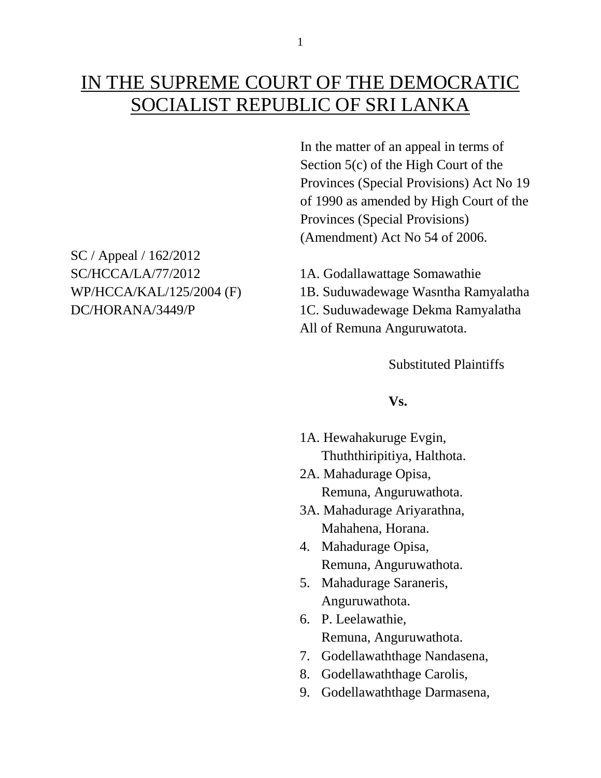# IN THE SUPREME COURT OF THE DEMOCRATIC SOCIALIST REPUBLIC OF SRI LANKA

In the matter of an appeal in terms of Section 5(c) of the High Court of the Provinces (Special Provisions) Act No 19 of 1990 as amended by High Court of the Provinces (Special Provisions) (Amendment) Act No 54 of 2006.

SC/HCCA/LA/77/2012 1A. Godallawattage Somawathie WP/HCCA/KAL/125/2004 (F) 1B. Suduwadewage Wasntha Ramyalatha DC/HORANA/3449/P 1C. Suduwadewage Dekma Ramyalatha All of Remuna Anguruwatota.

Substituted Plaintiffs

#### **Vs.**

- 1A. Hewahakuruge Evgin, Thuththiripitiya, Halthota.
- 2A. Mahadurage Opisa, Remuna, Anguruwathota.
- 3A. Mahadurage Ariyarathna, Mahahena, Horana.
- 4. Mahadurage Opisa, Remuna, Anguruwathota.
- 5. Mahadurage Saraneris, Anguruwathota.
- 6. P. Leelawathie, Remuna, Anguruwathota.
- 7. Godellawaththage Nandasena,
- 8. Godellawaththage Carolis,
- 9. Godellawaththage Darmasena,

SC / Appeal / 162/2012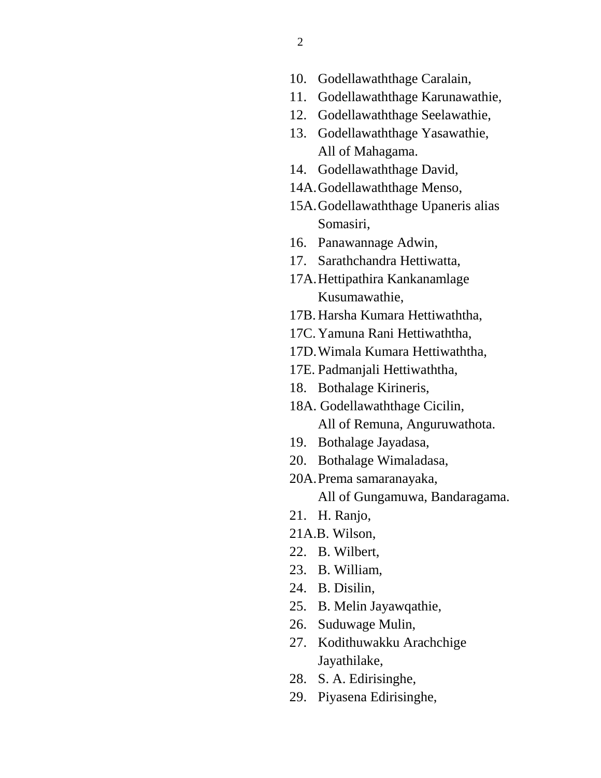- 10. Godellawaththage Caralain,
- 11. Godellawaththage Karunawathie,
- 12. Godellawaththage Seelawathie,
- 13. Godellawaththage Yasawathie, All of Mahagama.
- 14. Godellawaththage David,
- 14A.Godellawaththage Menso,
- 15A.Godellawaththage Upaneris alias Somasiri,
- 16. Panawannage Adwin,
- 17. Sarathchandra Hettiwatta,
- 17A.Hettipathira Kankanamlage Kusumawathie,
- 17B. Harsha Kumara Hettiwaththa,
- 17C. Yamuna Rani Hettiwaththa,
- 17D.Wimala Kumara Hettiwaththa,
- 17E. Padmanjali Hettiwaththa,
- 18. Bothalage Kirineris,
- 18A. Godellawaththage Cicilin, All of Remuna, Anguruwathota.
- 19. Bothalage Jayadasa,
- 20. Bothalage Wimaladasa,
- 20A.Prema samaranayaka,

All of Gungamuwa, Bandaragama.

- 21. H. Ranjo,
- 21A.B. Wilson,
- 22. B. Wilbert,
- 23. B. William,
- 24. B. Disilin,
- 25. B. Melin Jayawqathie,
- 26. Suduwage Mulin,
- 27. Kodithuwakku Arachchige Jayathilake,
- 28. S. A. Edirisinghe,
- 29. Piyasena Edirisinghe,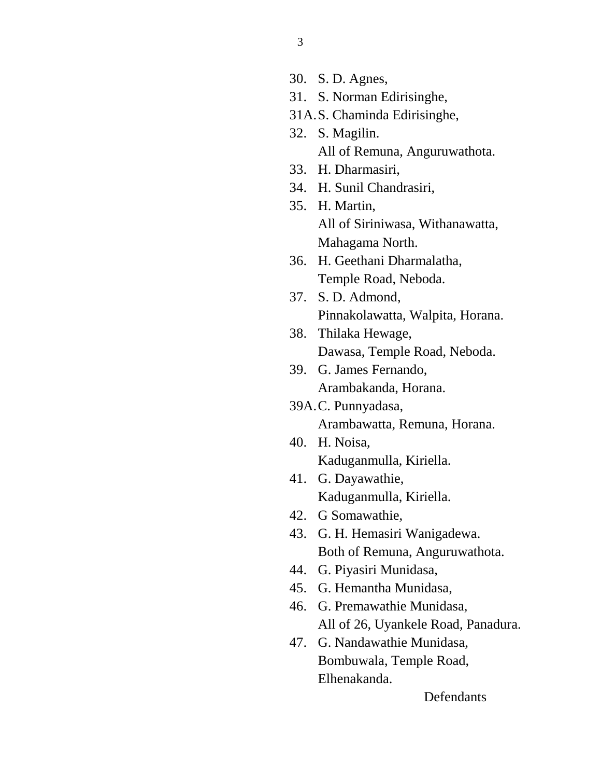- 30. S. D. Agnes,
- 31. S. Norman Edirisinghe,
- 31A.S. Chaminda Edirisinghe,
- 32. S. Magilin. All of Remuna, Anguruwathota.
- 33. H. Dharmasiri,
- 34. H. Sunil Chandrasiri,
- 35. H. Martin, All of Siriniwasa, Withanawatta, Mahagama North.
- 36. H. Geethani Dharmalatha, Temple Road, Neboda.
- 37. S. D. Admond, Pinnakolawatta, Walpita, Horana.
- 38. Thilaka Hewage, Dawasa, Temple Road, Neboda.
- 39. G. James Fernando, Arambakanda, Horana.
- 39A.C. Punnyadasa, Arambawatta, Remuna, Horana.
- 40. H. Noisa, Kaduganmulla, Kiriella.
- 41. G. Dayawathie, Kaduganmulla, Kiriella.
- 42. G Somawathie,
- 43. G. H. Hemasiri Wanigadewa. Both of Remuna, Anguruwathota.
- 44. G. Piyasiri Munidasa,
- 45. G. Hemantha Munidasa,
- 46. G. Premawathie Munidasa, All of 26, Uyankele Road, Panadura.
- 47. G. Nandawathie Munidasa, Bombuwala, Temple Road, Elhenakanda.

**Defendants**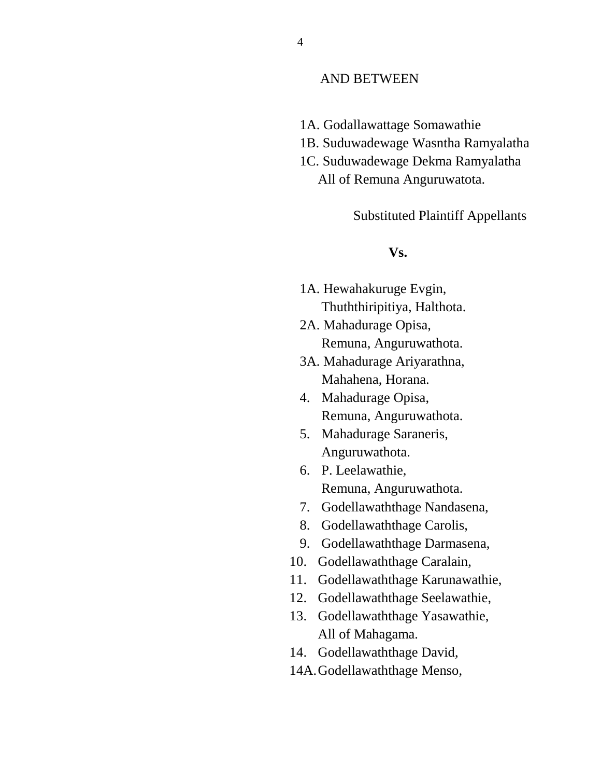#### AND BETWEEN

- 1A. Godallawattage Somawathie
- 1B. Suduwadewage Wasntha Ramyalatha
- 1C. Suduwadewage Dekma Ramyalatha All of Remuna Anguruwatota.

Substituted Plaintiff Appellants

#### **Vs.**

- 1A. Hewahakuruge Evgin, Thuththiripitiya, Halthota.
- 2A. Mahadurage Opisa, Remuna, Anguruwathota.
- 3A. Mahadurage Ariyarathna, Mahahena, Horana.
- 4. Mahadurage Opisa, Remuna, Anguruwathota.
- 5. Mahadurage Saraneris, Anguruwathota.
- 6. P. Leelawathie, Remuna, Anguruwathota.
- 7. Godellawaththage Nandasena,
- 8. Godellawaththage Carolis,
- 9. Godellawaththage Darmasena,
- 10. Godellawaththage Caralain,
- 11. Godellawaththage Karunawathie,
- 12. Godellawaththage Seelawathie,
- 13. Godellawaththage Yasawathie, All of Mahagama.
- 14. Godellawaththage David,
- 14A.Godellawaththage Menso,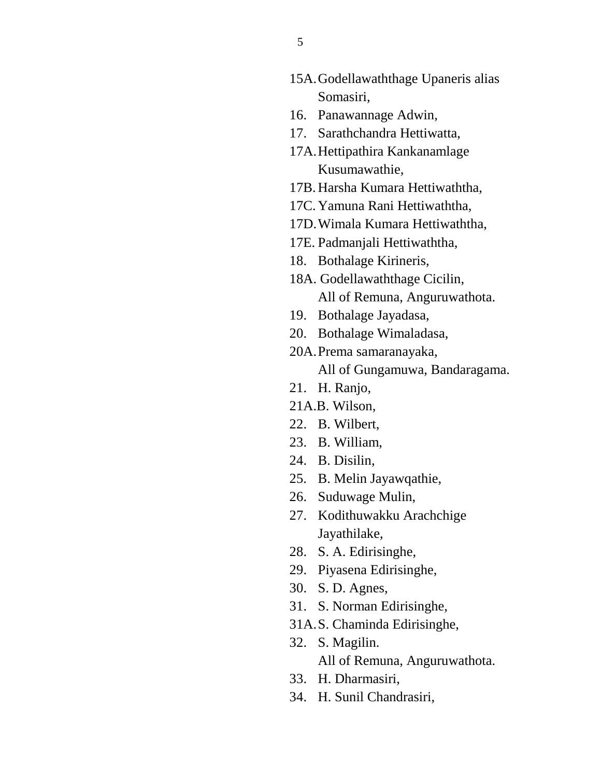- 15A.Godellawaththage Upaneris alias Somasiri,
- 16. Panawannage Adwin,
- 17. Sarathchandra Hettiwatta,
- 17A.Hettipathira Kankanamlage Kusumawathie,
- 17B. Harsha Kumara Hettiwaththa,
- 17C. Yamuna Rani Hettiwaththa,
- 17D.Wimala Kumara Hettiwaththa,
- 17E. Padmanjali Hettiwaththa,
- 18. Bothalage Kirineris,
- 18A. Godellawaththage Cicilin, All of Remuna, Anguruwathota.
- 19. Bothalage Jayadasa,
- 20. Bothalage Wimaladasa,
- 20A.Prema samaranayaka, All of Gungamuwa, Bandaragama.
- 21. H. Ranjo,
- 21A.B. Wilson,
- 22. B. Wilbert,
- 23. B. William,
- 24. B. Disilin,
- 25. B. Melin Jayawqathie,
- 26. Suduwage Mulin,
- 27. Kodithuwakku Arachchige Jayathilake,
- 28. S. A. Edirisinghe,
- 29. Piyasena Edirisinghe,
- 30. S. D. Agnes,
- 31. S. Norman Edirisinghe,
- 31A.S. Chaminda Edirisinghe,
- 32. S. Magilin. All of Remuna, Anguruwathota.
- 33. H. Dharmasiri,
- 34. H. Sunil Chandrasiri,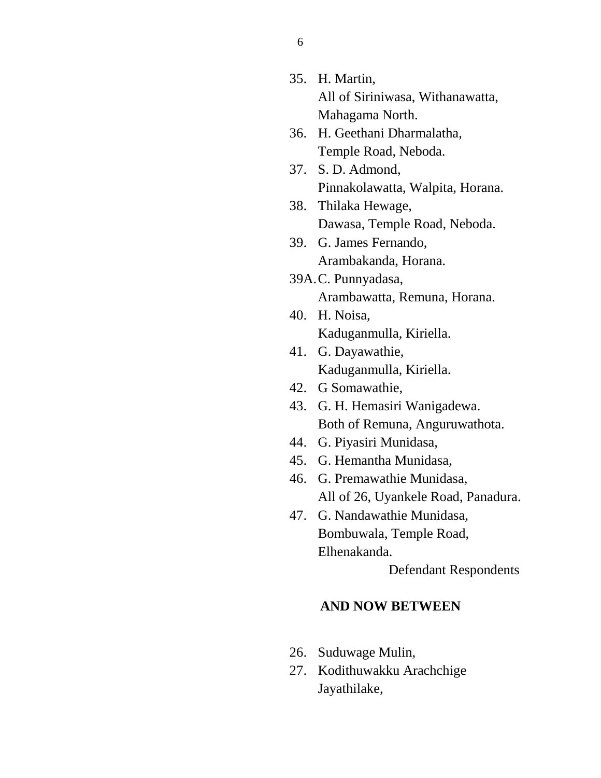- 35. H. Martin, All of Siriniwasa, Withanawatta, Mahagama North.
- 36. H. Geethani Dharmalatha, Temple Road, Neboda.
- 37. S. D. Admond, Pinnakolawatta, Walpita, Horana.
- 38. Thilaka Hewage, Dawasa, Temple Road, Neboda.
- 39. G. James Fernando, Arambakanda, Horana.
- 39A.C. Punnyadasa, Arambawatta, Remuna, Horana.
- 40. H. Noisa, Kaduganmulla, Kiriella.
- 41. G. Dayawathie, Kaduganmulla, Kiriella.
- 42. G Somawathie,
- 43. G. H. Hemasiri Wanigadewa. Both of Remuna, Anguruwathota.
- 44. G. Piyasiri Munidasa,
- 45. G. Hemantha Munidasa,
- 46. G. Premawathie Munidasa, All of 26, Uyankele Road, Panadura.
- 47. G. Nandawathie Munidasa, Bombuwala, Temple Road, Elhenakanda.

Defendant Respondents

## **AND NOW BETWEEN**

- 26. Suduwage Mulin,
- 27. Kodithuwakku Arachchige Jayathilake,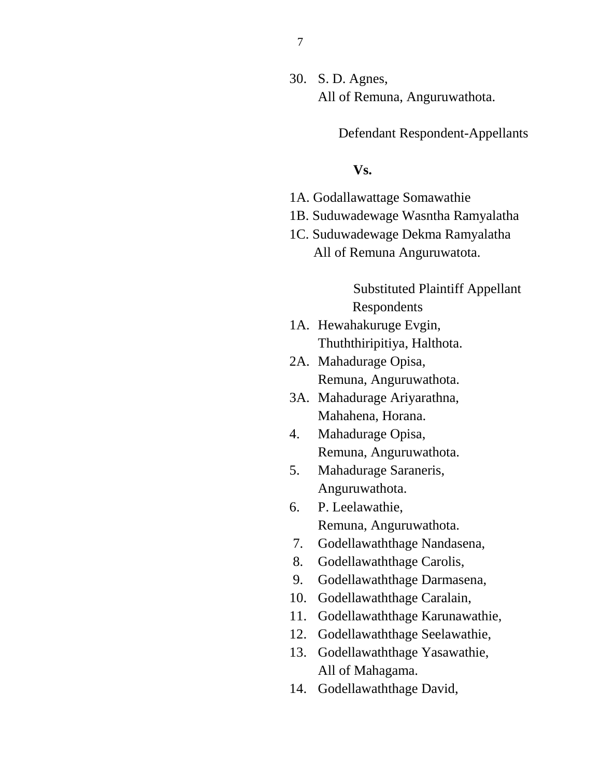30. S. D. Agnes, All of Remuna, Anguruwathota.

Defendant Respondent-Appellants

#### **Vs.**

- 1A. Godallawattage Somawathie
- 1B. Suduwadewage Wasntha Ramyalatha
- 1C. Suduwadewage Dekma Ramyalatha All of Remuna Anguruwatota.

## Substituted Plaintiff Appellant Respondents

- 1A. Hewahakuruge Evgin, Thuththiripitiya, Halthota.
- 2A. Mahadurage Opisa, Remuna, Anguruwathota.
- 3A. Mahadurage Ariyarathna, Mahahena, Horana.
- 4. Mahadurage Opisa, Remuna, Anguruwathota.
- 5. Mahadurage Saraneris, Anguruwathota.
- 6. P. Leelawathie, Remuna, Anguruwathota.
- 7. Godellawaththage Nandasena,
- 8. Godellawaththage Carolis,
- 9. Godellawaththage Darmasena,
- 10. Godellawaththage Caralain,
- 11. Godellawaththage Karunawathie,
- 12. Godellawaththage Seelawathie,
- 13. Godellawaththage Yasawathie, All of Mahagama.
- 14. Godellawaththage David,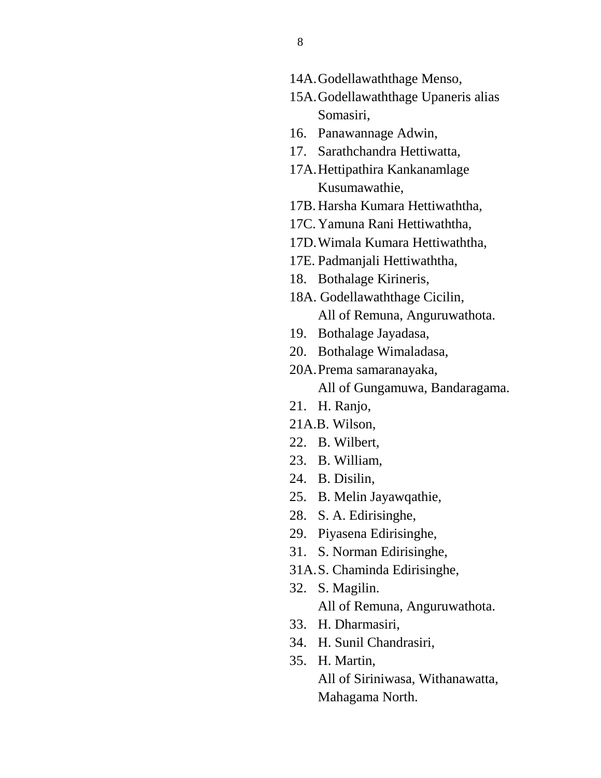- 14A.Godellawaththage Menso,
- 15A.Godellawaththage Upaneris alias Somasiri,
- 16. Panawannage Adwin,
- 17. Sarathchandra Hettiwatta,
- 17A.Hettipathira Kankanamlage Kusumawathie,
- 17B. Harsha Kumara Hettiwaththa,
- 17C. Yamuna Rani Hettiwaththa,
- 17D.Wimala Kumara Hettiwaththa,
- 17E. Padmanjali Hettiwaththa,
- 18. Bothalage Kirineris,
- 18A. Godellawaththage Cicilin, All of Remuna, Anguruwathota.
- 19. Bothalage Jayadasa,
- 20. Bothalage Wimaladasa,
- 20A.Prema samaranayaka, All of Gungamuwa, Bandaragama.
- 21. H. Ranjo,
- 21A.B. Wilson,
- 22. B. Wilbert,
- 23. B. William,
- 24. B. Disilin,
- 25. B. Melin Jayawqathie,
- 28. S. A. Edirisinghe,
- 29. Piyasena Edirisinghe,
- 31. S. Norman Edirisinghe,
- 31A.S. Chaminda Edirisinghe,
- 32. S. Magilin. All of Remuna, Anguruwathota.
- 33. H. Dharmasiri,
- 34. H. Sunil Chandrasiri,
- 35. H. Martin,

All of Siriniwasa, Withanawatta, Mahagama North.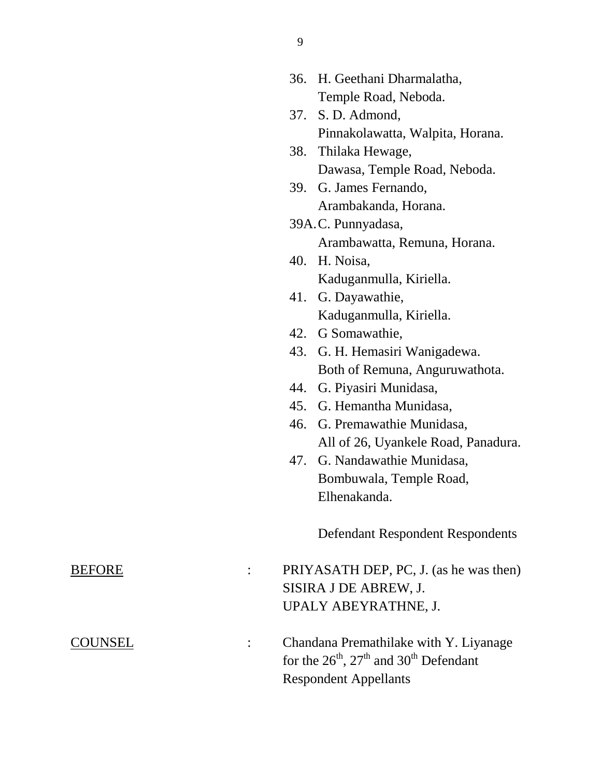|         |                | 36. | H. Geethani Dharmalatha,                                                   |
|---------|----------------|-----|----------------------------------------------------------------------------|
|         |                |     | Temple Road, Neboda.                                                       |
|         |                | 37. | S. D. Admond,                                                              |
|         |                |     | Pinnakolawatta, Walpita, Horana.                                           |
|         |                | 38. | Thilaka Hewage,                                                            |
|         |                |     | Dawasa, Temple Road, Neboda.                                               |
|         |                |     | 39. G. James Fernando,                                                     |
|         |                |     | Arambakanda, Horana.                                                       |
|         |                |     | 39A.C. Punnyadasa,                                                         |
|         |                |     | Arambawatta, Remuna, Horana.                                               |
|         |                |     | 40. H. Noisa,                                                              |
|         |                |     | Kaduganmulla, Kiriella.                                                    |
|         |                | 41. | G. Dayawathie,                                                             |
|         |                |     | Kaduganmulla, Kiriella.                                                    |
|         |                |     | 42. G Somawathie,                                                          |
|         |                | 43. | G. H. Hemasiri Wanigadewa.                                                 |
|         |                |     | Both of Remuna, Anguruwathota.                                             |
|         |                | 44. | G. Piyasiri Munidasa,                                                      |
|         |                | 45. | G. Hemantha Munidasa,                                                      |
|         |                |     | 46. G. Premawathie Munidasa,                                               |
|         |                |     | All of 26, Uyankele Road, Panadura.                                        |
|         |                |     | 47. G. Nandawathie Munidasa,                                               |
|         |                |     | Bombuwala, Temple Road,                                                    |
|         |                |     | Elhenakanda.                                                               |
|         |                |     | <b>Defendant Respondent Respondents</b>                                    |
| BEFORE  | $\ddot{\cdot}$ |     | PRIYASATH DEP, PC, J. (as he was then)                                     |
|         |                |     | SISIRA J DE ABREW, J.                                                      |
|         |                |     | UPALY ABEYRATHNE, J.                                                       |
| COUNSEL |                |     | Chandana Premathilake with Y. Liyanage                                     |
|         |                |     | for the $26^{\text{th}}$ , $27^{\text{th}}$ and $30^{\text{th}}$ Defendant |
|         |                |     | <b>Respondent Appellants</b>                                               |
|         |                |     |                                                                            |

9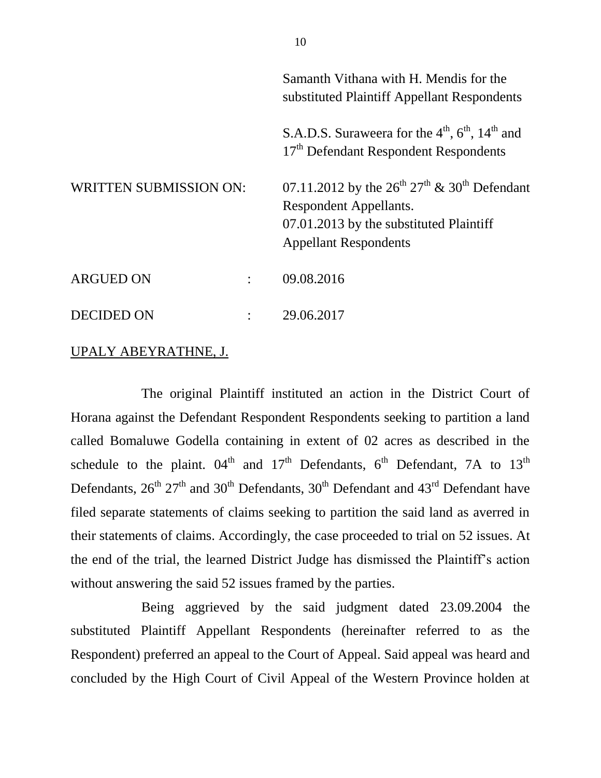|                               |  | Samanth Vithana with H. Mendis for the<br>substituted Plaintiff Appellant Respondents                                                                          |
|-------------------------------|--|----------------------------------------------------------------------------------------------------------------------------------------------------------------|
|                               |  | S.A.D.S. Suraweera for the $4th$ , $6th$ , $14th$ and<br>17 <sup>th</sup> Defendant Respondent Respondents                                                     |
| <b>WRITTEN SUBMISSION ON:</b> |  | 07.11.2012 by the $26^{th} 27^{th}$ & $30^{th}$ Defendant<br>Respondent Appellants.<br>07.01.2013 by the substituted Plaintiff<br><b>Appellant Respondents</b> |
| <b>ARGUED ON</b>              |  | 09.08.2016                                                                                                                                                     |
| DECIDED ON                    |  | 29.06.2017                                                                                                                                                     |

#### UPALY ABEYRATHNE, J.

The original Plaintiff instituted an action in the District Court of Horana against the Defendant Respondent Respondents seeking to partition a land called Bomaluwe Godella containing in extent of 02 acres as described in the schedule to the plaint.  $04<sup>th</sup>$  and  $17<sup>th</sup>$  Defendants,  $6<sup>th</sup>$  Defendant, 7A to  $13<sup>th</sup>$ Defendants,  $26^{th}$   $27^{th}$  and  $30^{th}$  Defendants,  $30^{th}$  Defendant and  $43^{rd}$  Defendant have filed separate statements of claims seeking to partition the said land as averred in their statements of claims. Accordingly, the case proceeded to trial on 52 issues. At the end of the trial, the learned District Judge has dismissed the Plaintiff's action without answering the said 52 issues framed by the parties.

Being aggrieved by the said judgment dated 23.09.2004 the substituted Plaintiff Appellant Respondents (hereinafter referred to as the Respondent) preferred an appeal to the Court of Appeal. Said appeal was heard and concluded by the High Court of Civil Appeal of the Western Province holden at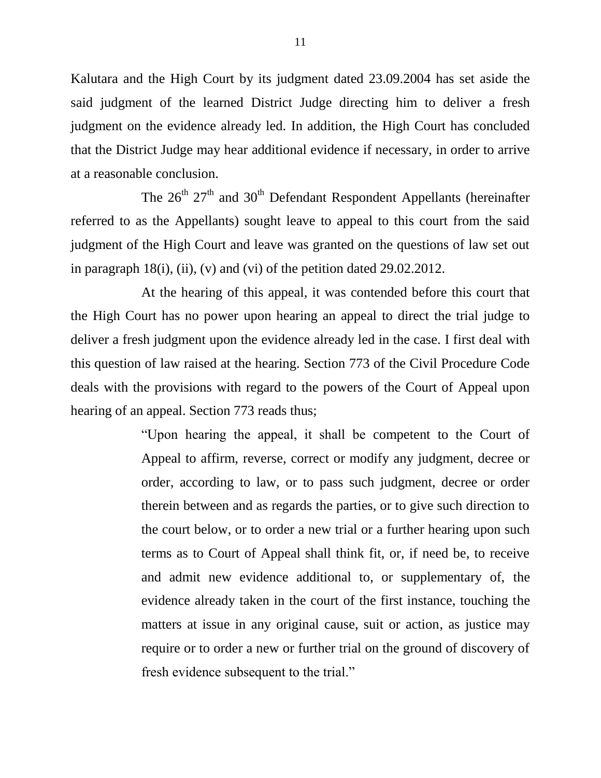Kalutara and the High Court by its judgment dated 23.09.2004 has set aside the said judgment of the learned District Judge directing him to deliver a fresh judgment on the evidence already led. In addition, the High Court has concluded that the District Judge may hear additional evidence if necessary, in order to arrive at a reasonable conclusion.

The  $26<sup>th</sup> 27<sup>th</sup>$  and  $30<sup>th</sup>$  Defendant Respondent Appellants (hereinafter referred to as the Appellants) sought leave to appeal to this court from the said judgment of the High Court and leave was granted on the questions of law set out in paragraph 18(i), (ii), (v) and (vi) of the petition dated 29.02.2012.

At the hearing of this appeal, it was contended before this court that the High Court has no power upon hearing an appeal to direct the trial judge to deliver a fresh judgment upon the evidence already led in the case. I first deal with this question of law raised at the hearing. Section 773 of the Civil Procedure Code deals with the provisions with regard to the powers of the Court of Appeal upon hearing of an appeal. Section 773 reads thus;

> "Upon hearing the appeal, it shall be competent to the Court of Appeal to affirm, reverse, correct or modify any judgment, decree or order, according to law, or to pass such judgment, decree or order therein between and as regards the parties, or to give such direction to the court below, or to order a new trial or a further hearing upon such terms as to Court of Appeal shall think fit, or, if need be, to receive and admit new evidence additional to, or supplementary of, the evidence already taken in the court of the first instance, touching the matters at issue in any original cause, suit or action, as justice may require or to order a new or further trial on the ground of discovery of fresh evidence subsequent to the trial."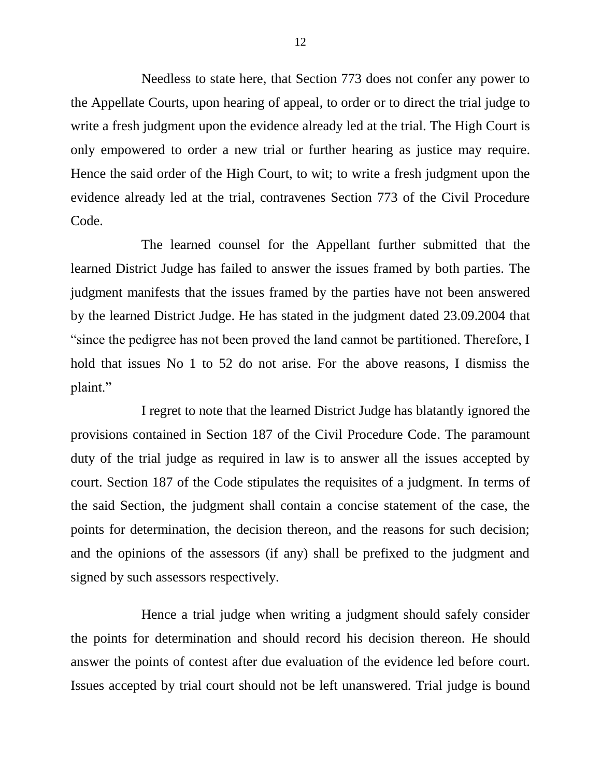Needless to state here, that Section 773 does not confer any power to the Appellate Courts, upon hearing of appeal, to order or to direct the trial judge to write a fresh judgment upon the evidence already led at the trial. The High Court is only empowered to order a new trial or further hearing as justice may require. Hence the said order of the High Court, to wit; to write a fresh judgment upon the evidence already led at the trial, contravenes Section 773 of the Civil Procedure Code.

The learned counsel for the Appellant further submitted that the learned District Judge has failed to answer the issues framed by both parties. The judgment manifests that the issues framed by the parties have not been answered by the learned District Judge. He has stated in the judgment dated 23.09.2004 that "since the pedigree has not been proved the land cannot be partitioned. Therefore, I hold that issues No 1 to 52 do not arise. For the above reasons, I dismiss the plaint."

I regret to note that the learned District Judge has blatantly ignored the provisions contained in Section 187 of the Civil Procedure Code. The paramount duty of the trial judge as required in law is to answer all the issues accepted by court. Section 187 of the Code stipulates the requisites of a judgment. In terms of the said Section, the judgment shall contain a concise statement of the case, the points for determination, the decision thereon, and the reasons for such decision; and the opinions of the assessors (if any) shall be prefixed to the judgment and signed by such assessors respectively.

Hence a trial judge when writing a judgment should safely consider the points for determination and should record his decision thereon. He should answer the points of contest after due evaluation of the evidence led before court. Issues accepted by trial court should not be left unanswered. Trial judge is bound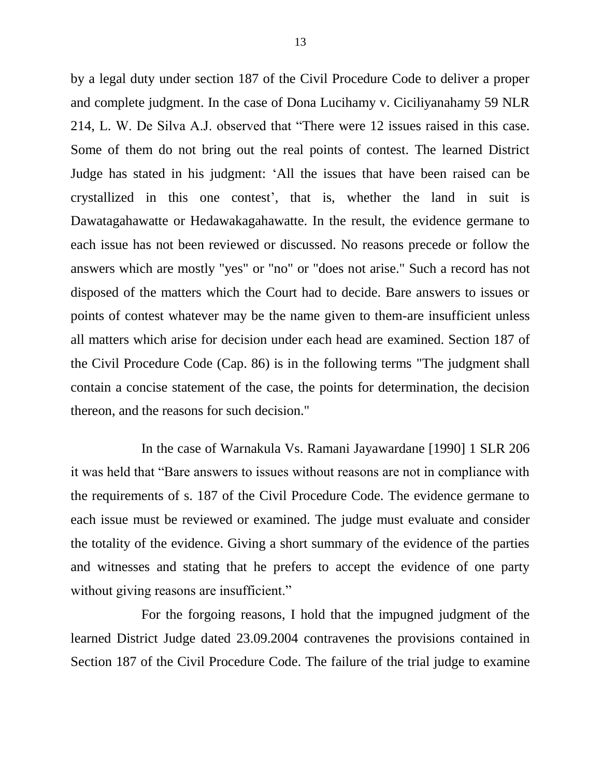by a legal duty under section 187 of the Civil Procedure Code to deliver a proper and complete judgment. In the case of Dona Lucihamy v. Ciciliyanahamy 59 NLR 214, L. W. De Silva A.J. observed that "There were 12 issues raised in this case. Some of them do not bring out the real points of contest. The learned District Judge has stated in his judgment: 'All the issues that have been raised can be crystallized in this one contest', that is, whether the land in suit is Dawatagahawatte or Hedawakagahawatte. In the result, the evidence germane to each issue has not been reviewed or discussed. No reasons precede or follow the answers which are mostly "yes" or "no" or "does not arise." Such a record has not disposed of the matters which the Court had to decide. Bare answers to issues or points of contest whatever may be the name given to them-are insufficient unless all matters which arise for decision under each head are examined. Section 187 of the Civil Procedure Code (Cap. 86) is in the following terms "The judgment shall contain a concise statement of the case, the points for determination, the decision thereon, and the reasons for such decision."

In the case of Warnakula Vs. Ramani Jayawardane [1990] 1 SLR 206 it was held that "Bare answers to issues without reasons are not in compliance with the requirements of s. 187 of the Civil Procedure Code. The evidence germane to each issue must be reviewed or examined. The judge must evaluate and consider the totality of the evidence. Giving a short summary of the evidence of the parties and witnesses and stating that he prefers to accept the evidence of one party without giving reasons are insufficient."

For the forgoing reasons, I hold that the impugned judgment of the learned District Judge dated 23.09.2004 contravenes the provisions contained in Section 187 of the Civil Procedure Code. The failure of the trial judge to examine